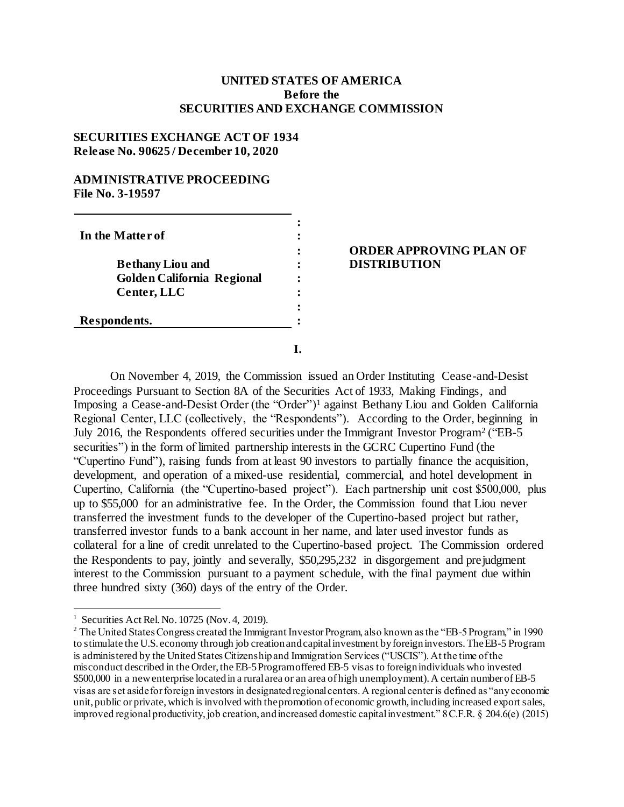## **UNITED STATES OF AMERICA Before the SECURITIES AND EXCHANGE COMMISSION**

# **SECURITIES EXCHANGE ACT OF 1934 Release No. 90625 / December 10, 2020**

# **ADMINISTRATIVE PROCEEDING File No. 3-19597**

| In the Matter of                  |  |
|-----------------------------------|--|
|                                   |  |
| <b>Bethany Liou and</b>           |  |
| <b>Golden California Regional</b> |  |
| Center, LLC                       |  |
|                                   |  |
| Respondents.                      |  |
|                                   |  |

## **ORDER APPROVING PLAN OF DISTRIBUTION**

On November 4, 2019, the Commission issued an Order Instituting Cease-and-Desist Proceedings Pursuant to Section 8A of the Securities Act of 1933, Making Findings, and Imposing a Cease-and-Desist Order (the "Order")<sup>1</sup> against Bethany Liou and Golden California Regional Center, LLC (collectively, the "Respondents"). According to the Order, beginning in July 2016, the Respondents offered securities under the Immigrant Investor Program<sup>2</sup> ("EB-5 securities") in the form of limited partnership interests in the GCRC Cupertino Fund (the "Cupertino Fund"), raising funds from at least 90 investors to partially finance the acquisition, development, and operation of a mixed-use residential, commercial, and hotel development in Cupertino, California (the "Cupertino-based project"). Each partnership unit cost \$500,000, plus up to \$55,000 for an administrative fee. In the Order, the Commission found that Liou never transferred the investment funds to the developer of the Cupertino-based project but rather, transferred investor funds to a bank account in her name, and later used investor funds as collateral for a line of credit unrelated to the Cupertino-based project. The Commission ordered the Respondents to pay, jointly and severally, \$50,295,232 in disgorgement and prejudgment interest to the Commission pursuant to a payment schedule, with the final payment due within three hundred sixty (360) days of the entry of the Order.

**I.**

l

<sup>&</sup>lt;sup>1</sup> Securities Act Rel. No. 10725 (Nov. 4, 2019).

<sup>&</sup>lt;sup>2</sup> The United States Congress created the Immigrant Investor Program, also known as the "EB-5 Program," in 1990 to stimulate the U.S. economy through job creation and capital investment by foreign investors. The EB-5 Program is administered by the United States Citizenship and Immigration Services ("USCIS"). At the time of the misconduct described in the Order, the EB-5 Program offered EB-5 visas to foreign individuals who invested \$500,000 in a new enterprise located in a rural area or an area of high unemployment). A certain number of EB-5 visas are set aside for foreign investors in designated regional centers. A regional center is defined as "any economic unit, public or private, which is involved with the promotion of economic growth, including increased export sales, improved regional productivity, job creation, and increased domestic capital investment." 8 C.F.R. § 204.6(e) (2015)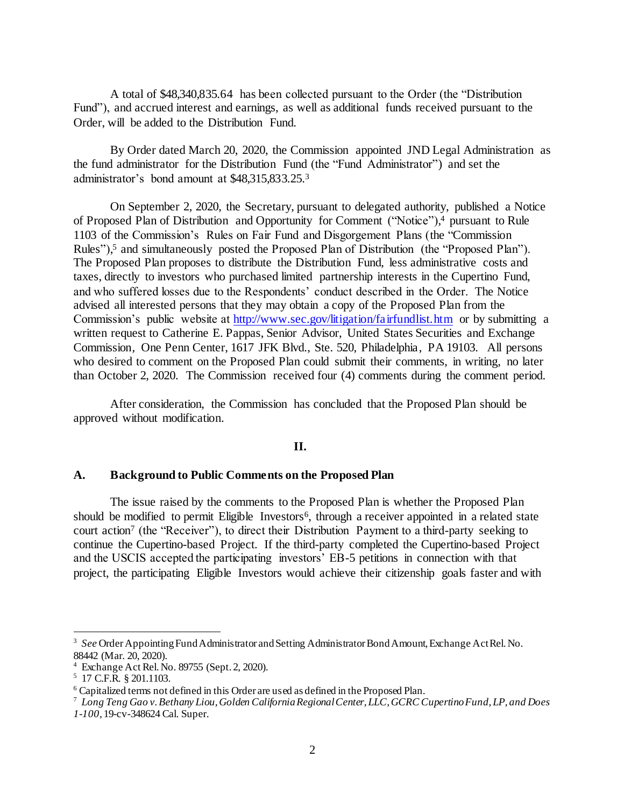A total of \$48,340,835.64 has been collected pursuant to the Order (the "Distribution Fund"), and accrued interest and earnings, as well as additional funds received pursuant to the Order, will be added to the Distribution Fund.

By Order dated March 20, 2020, the Commission appointed JND Legal Administration as the fund administrator for the Distribution Fund (the "Fund Administrator") and set the administrator's bond amount at \$48,315,833.25. 3

On September 2, 2020, the Secretary, pursuant to delegated authority, published a Notice of Proposed Plan of Distribution and Opportunity for Comment ("Notice"), <sup>4</sup> pursuant to Rule 1103 of the Commission's Rules on Fair Fund and Disgorgement Plans (the "Commission Rules"), <sup>5</sup> and simultaneously posted the Proposed Plan of Distribution (the "Proposed Plan"). The Proposed Plan proposes to distribute the Distribution Fund, less administrative costs and taxes, directly to investors who purchased limited partnership interests in the Cupertino Fund, and who suffered losses due to the Respondents' conduct described in the Order. The Notice advised all interested persons that they may obtain a copy of the Proposed Plan from the Commission's public website at<http://www.sec.gov/litigation/fairfundlist.htm> or by submitting a written request to Catherine E. Pappas, Senior Advisor, United States Securities and Exchange Commission, One Penn Center, 1617 JFK Blvd., Ste. 520, Philadelphia, PA 19103. All persons who desired to comment on the Proposed Plan could submit their comments, in writing, no later than October 2, 2020. The Commission received four (4) comments during the comment period.

After consideration, the Commission has concluded that the Proposed Plan should be approved without modification.

### **II.**

#### **A. Background to Public Comments on the Proposed Plan**

The issue raised by the comments to the Proposed Plan is whether the Proposed Plan should be modified to permit Eligible Investors<sup>6</sup>, through a receiver appointed in a related state court action<sup>7</sup> (the "Receiver"), to direct their Distribution Payment to a third-party seeking to continue the Cupertino-based Project. If the third-party completed the Cupertino-based Project and the USCIS accepted the participating investors' EB-5 petitions in connection with that project, the participating Eligible Investors would achieve their citizenship goals faster and with

l

<sup>3</sup> *See* Order Appointing Fund Administrator and Setting Administrator Bond Amount, Exchange Act Rel. No. 88442 (Mar. 20, 2020).

<sup>4</sup> Exchange Act Rel. No. 89755 (Sept. 2, 2020).

<sup>5</sup> 17 C.F.R. § 201.1103.

<sup>6</sup> Capitalized terms not defined in this Order are used as defined in the Proposed Plan.

<sup>7</sup> *Long Teng Gao v. Bethany Liou, Golden California Regional Center, LLC, GCRC Cupertino Fund, LP, and Does 1-100*, 19-cv-348624 Cal. Super.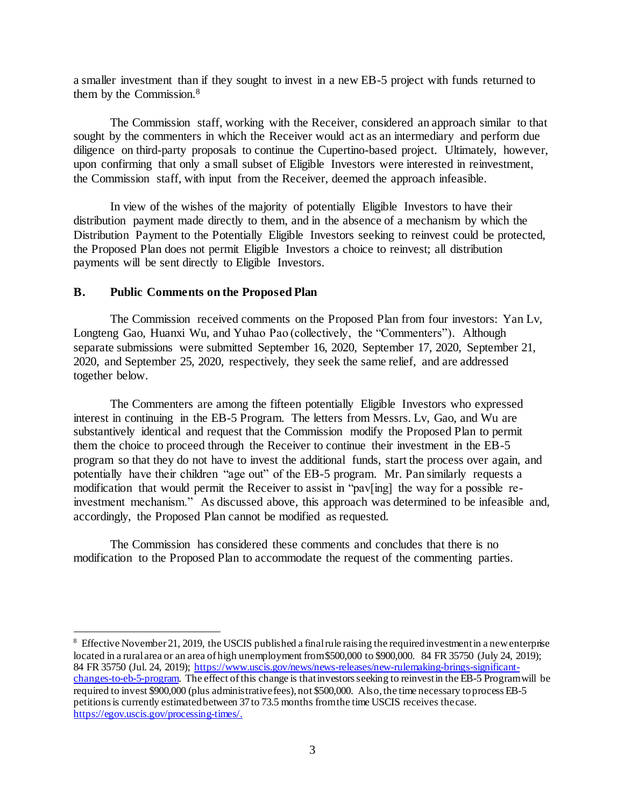a smaller investment than if they sought to invest in a new EB-5 project with funds returned to them by the Commission.<sup>8</sup>

The Commission staff, working with the Receiver, considered an approach similar to that sought by the commenters in which the Receiver would act as an intermediary and perform due diligence on third-party proposals to continue the Cupertino-based project. Ultimately, however, upon confirming that only a small subset of Eligible Investors were interested in reinvestment, the Commission staff, with input from the Receiver, deemed the approach infeasible.

In view of the wishes of the majority of potentially Eligible Investors to have their distribution payment made directly to them, and in the absence of a mechanism by which the Distribution Payment to the Potentially Eligible Investors seeking to reinvest could be protected, the Proposed Plan does not permit Eligible Investors a choice to reinvest; all distribution payments will be sent directly to Eligible Investors.

#### **B. Public Comments on the Proposed Plan**

l

The Commission received comments on the Proposed Plan from four investors: Yan Lv, Longteng Gao, Huanxi Wu, and Yuhao Pao (collectively, the "Commenters"). Although separate submissions were submitted September 16, 2020, September 17, 2020, September 21, 2020, and September 25, 2020, respectively, they seek the same relief, and are addressed together below.

The Commenters are among the fifteen potentially Eligible Investors who expressed interest in continuing in the EB-5 Program. The letters from Messrs. Lv, Gao, and Wu are substantively identical and request that the Commission modify the Proposed Plan to permit them the choice to proceed through the Receiver to continue their investment in the EB-5 program so that they do not have to invest the additional funds, start the process over again, and potentially have their children "age out" of the EB-5 program. Mr. Pan similarly requests a modification that would permit the Receiver to assist in "pav[ing] the way for a possible reinvestment mechanism." As discussed above, this approach was determined to be infeasible and, accordingly, the Proposed Plan cannot be modified as requested.

The Commission has considered these comments and concludes that there is no modification to the Proposed Plan to accommodate the request of the commenting parties.

 $8$  Effective November 21, 2019, the USCIS published a final rule raising the required investment in a new enterprise located in a rural area or an area of high unemployment from \$500,000 to \$900,000. 84 FR 35750 (July 24, 2019); 84 FR 35750 (Jul. 24, 2019); [https://www.uscis.gov/news/news-releases/new-rulemaking-brings-significant](file://///ad.sec.gov/projects/ENF2/Other_Projects/Distributions/Case%20Files/ho-12687%20Certain%20EB-5%20Regional%20Centers/cep/action%20memos/distribution%20plan/current/www.uscis.gov/news/news-releases/new-rulemaking-brings-significant-changes-to-eb-5-program)[changes-to-eb-5-program.](file://///ad.sec.gov/projects/ENF2/Other_Projects/Distributions/Case%20Files/ho-12687%20Certain%20EB-5%20Regional%20Centers/cep/action%20memos/distribution%20plan/current/www.uscis.gov/news/news-releases/new-rulemaking-brings-significant-changes-to-eb-5-program) The effect of this change is that investors seeking to reinvest in the EB-5 Program will be required to invest \$900,000 (plus administrative fees), not \$500,000. Also, the time necessary to process EB-5 petitions is currently estimated between 37 to 73.5 months from the time USCIS receives the case. <https://egov.uscis.gov/processing-times/>.